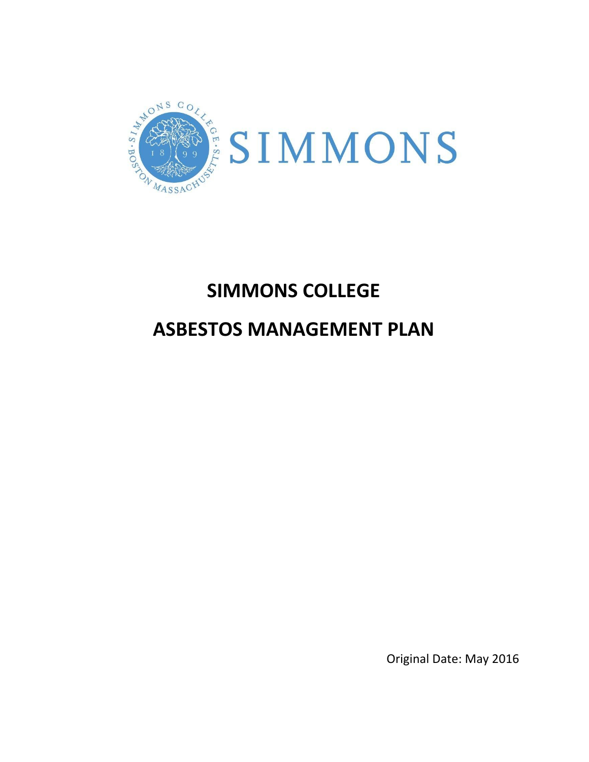

# **SIMMONS COLLEGE**

## **ASBESTOS MANAGEMENT PLAN**

Original Date: May 2016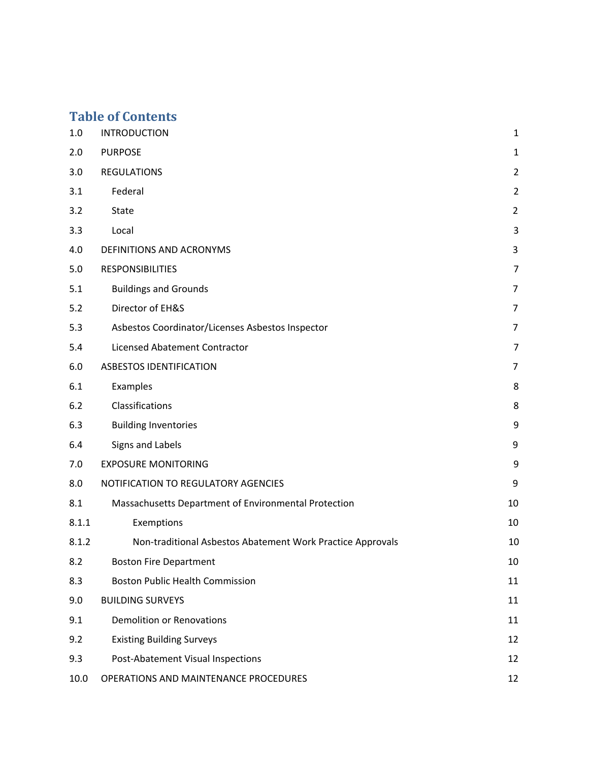## **Table of Contents**

| 1.0   | <b>INTRODUCTION</b>                                        | $\mathbf{1}$   |
|-------|------------------------------------------------------------|----------------|
| 2.0   | <b>PURPOSE</b>                                             | $\mathbf{1}$   |
| 3.0   | <b>REGULATIONS</b>                                         | $\overline{2}$ |
| 3.1   | Federal                                                    | $\overline{2}$ |
| 3.2   | State                                                      | $\overline{2}$ |
| 3.3   | Local                                                      | 3              |
| 4.0   | DEFINITIONS AND ACRONYMS                                   | 3              |
| 5.0   | <b>RESPONSIBILITIES</b>                                    | $\overline{7}$ |
| 5.1   | <b>Buildings and Grounds</b>                               | $\overline{7}$ |
| 5.2   | Director of EH&S                                           | $\overline{7}$ |
| 5.3   | Asbestos Coordinator/Licenses Asbestos Inspector           | $\overline{7}$ |
| 5.4   | <b>Licensed Abatement Contractor</b>                       | $\overline{7}$ |
| 6.0   | <b>ASBESTOS IDENTIFICATION</b>                             | $\overline{7}$ |
| 6.1   | Examples                                                   | 8              |
| 6.2   | Classifications                                            | 8              |
| 6.3   | <b>Building Inventories</b>                                | 9              |
| 6.4   | Signs and Labels                                           | 9              |
| 7.0   | <b>EXPOSURE MONITORING</b>                                 | 9              |
| 8.0   | NOTIFICATION TO REGULATORY AGENCIES                        | 9              |
| 8.1   | Massachusetts Department of Environmental Protection       | 10             |
| 8.1.1 | Exemptions                                                 | 10             |
| 8.1.2 | Non-traditional Asbestos Abatement Work Practice Approvals | 10             |
| 8.2   | <b>Boston Fire Department</b>                              | $10\,$         |
| 8.3   | <b>Boston Public Health Commission</b>                     | 11             |
| 9.0   | <b>BUILDING SURVEYS</b>                                    | 11             |
| 9.1   | <b>Demolition or Renovations</b>                           | 11             |
| 9.2   | <b>Existing Building Surveys</b>                           | 12             |
| 9.3   | Post-Abatement Visual Inspections                          | 12             |
| 10.0  | OPERATIONS AND MAINTENANCE PROCEDURES                      | 12             |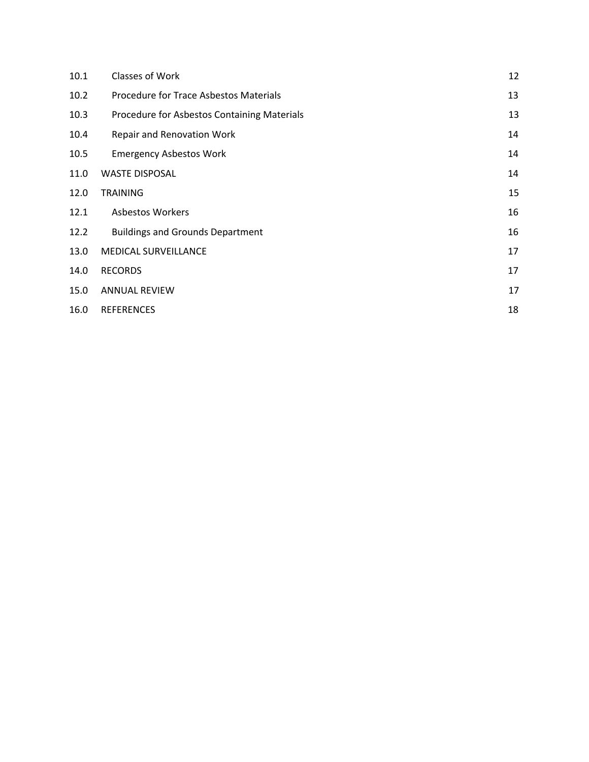| 10.1 | Classes of Work                             | 12 |
|------|---------------------------------------------|----|
| 10.2 | Procedure for Trace Asbestos Materials      | 13 |
| 10.3 | Procedure for Asbestos Containing Materials | 13 |
| 10.4 | <b>Repair and Renovation Work</b>           | 14 |
| 10.5 | <b>Emergency Asbestos Work</b>              | 14 |
| 11.0 | <b>WASTE DISPOSAL</b>                       | 14 |
| 12.0 | <b>TRAINING</b>                             | 15 |
| 12.1 | <b>Asbestos Workers</b>                     | 16 |
| 12.2 | <b>Buildings and Grounds Department</b>     | 16 |
| 13.0 | MEDICAL SURVEILLANCE                        | 17 |
| 14.0 | <b>RECORDS</b>                              | 17 |
| 15.0 | <b>ANNUAL REVIEW</b>                        | 17 |
| 16.0 | <b>REFERENCES</b>                           | 18 |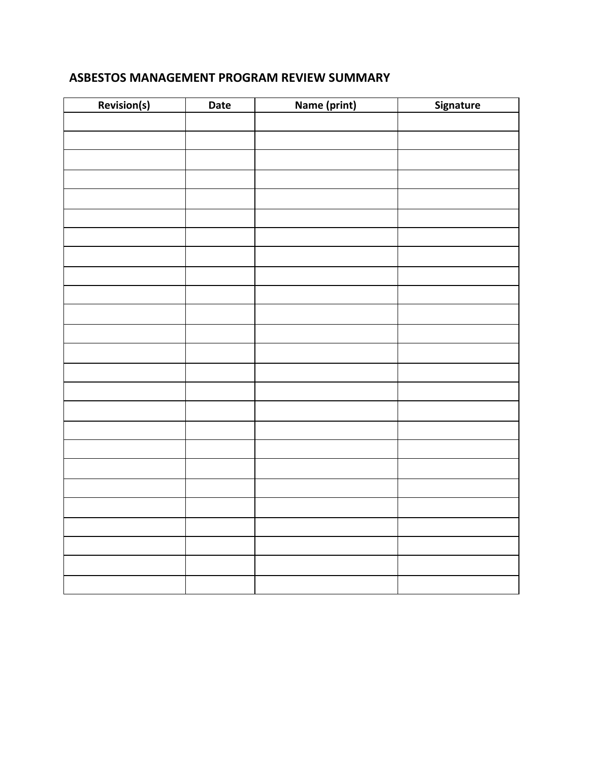## **ASBESTOS MANAGEMENT PROGRAM REVIEW SUMMARY**

| Revision(s) | Date | Name (print) | Signature |
|-------------|------|--------------|-----------|
|             |      |              |           |
|             |      |              |           |
|             |      |              |           |
|             |      |              |           |
|             |      |              |           |
|             |      |              |           |
|             |      |              |           |
|             |      |              |           |
|             |      |              |           |
|             |      |              |           |
|             |      |              |           |
|             |      |              |           |
|             |      |              |           |
|             |      |              |           |
|             |      |              |           |
|             |      |              |           |
|             |      |              |           |
|             |      |              |           |
|             |      |              |           |
|             |      |              |           |
|             |      |              |           |
|             |      |              |           |
|             |      |              |           |
|             |      |              |           |
|             |      |              |           |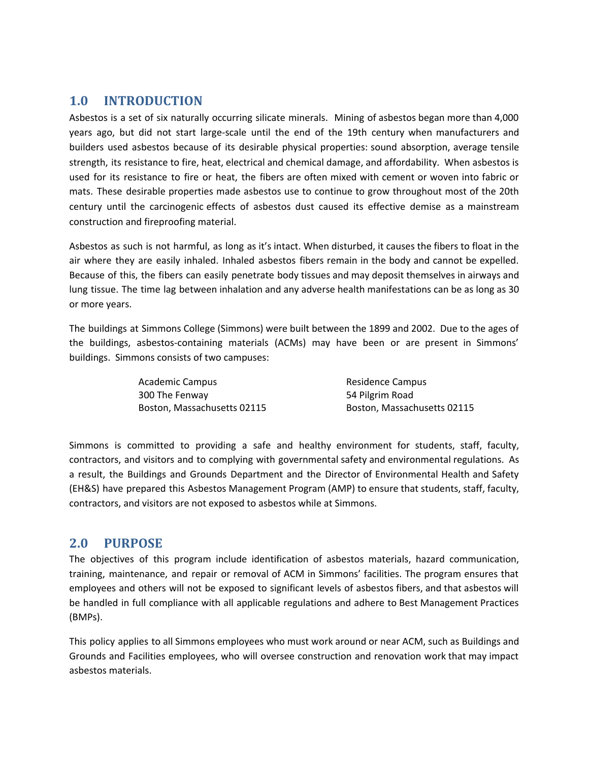## <span id="page-6-0"></span>**1.0 INTRODUCTION**

Asbestos is a set of six naturally occurring silicate minerals. Mining of asbestos began more than 4,000 years ago, but did not start large-scale until the end of the 19th century when manufacturers and builders used asbestos because of its desirable physical properties: sound absorption, average tensile strength, its resistance to fire, heat, electrical and chemical damage, and affordability. When asbestos is used for its resistance to fire or heat, the fibers are often mixed with cement or woven into fabric or mats. These desirable properties made asbestos use to continue to grow throughout most of the 20th century until the carcinogenic effects of asbestos dust caused its effective demise as a mainstream construction and fireproofing material.

Asbestos as such is not harmful, as long as it's intact. When disturbed, it causes the fibers to float in the air where they are easily inhaled. Inhaled asbestos fibers remain in the body and cannot be expelled. Because of this, the fibers can easily penetrate body tissues and may deposit themselves in airways and lung tissue. The time lag between inhalation and any adverse health manifestations can be as long as 30 or more years.

The buildings at Simmons College (Simmons) were built between the 1899 and 2002. Due to the ages of the buildings, asbestos-containing materials (ACMs) may have been or are present in Simmons' buildings. Simmons consists of two campuses:

| <b>Academic Campus</b>      | Residence Campus            |
|-----------------------------|-----------------------------|
| 300 The Fenway              | 54 Pilgrim Road             |
| Boston, Massachusetts 02115 | Boston, Massachusetts 02115 |

Simmons is committed to providing a safe and healthy environment for students, staff, faculty, contractors, and visitors and to complying with governmental safety and environmental regulations. As a result, the Buildings and Grounds Department and the Director of Environmental Health and Safety (EH&S) have prepared this Asbestos Management Program (AMP) to ensure that students, staff, faculty, contractors, and visitors are not exposed to asbestos while at Simmons.

## <span id="page-6-1"></span>**2.0 PURPOSE**

The objectives of this program include identification of asbestos materials, hazard communication, training, maintenance, and repair or removal of ACM in Simmons' facilities. The program ensures that employees and others will not be exposed to significant levels of asbestos fibers, and that asbestos will be handled in full compliance with all applicable regulations and adhere to Best Management Practices (BMPs).

This policy applies to all Simmons employees who must work around or near ACM, such as Buildings and Grounds and Facilities employees, who will oversee construction and renovation work that may impact asbestos materials.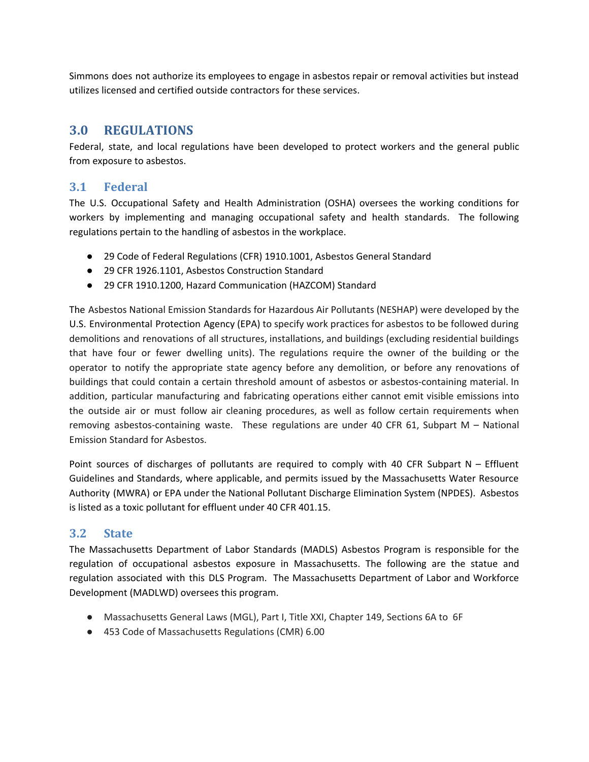Simmons does not authorize its employees to engage in asbestos repair or removal activities but instead utilizes licensed and certified outside contractors for these services.

## <span id="page-7-0"></span>**3.0 REGULATIONS**

Federal, state, and local regulations have been developed to protect workers and the general public from exposure to asbestos.

### <span id="page-7-1"></span>**3.1 Federal**

The U.S. Occupational Safety and Health Administration (OSHA) oversees the working conditions for workers by implementing and managing occupational safety and health standards. The following regulations pertain to the handling of asbestos in the workplace.

- 29 Code of Federal Regulations (CFR) 1910.1001, Asbestos General Standard
- 29 CFR 1926.1101, Asbestos Construction Standard
- 29 CFR 1910.1200, Hazard Communication (HAZCOM) Standard

The Asbestos National Emission Standards for Hazardous Air Pollutants (NESHAP) were developed by the U.S. Environmental Protection Agency (EPA) to specify work practices for asbestos to be followed during demolitions and renovations of all structures, installations, and buildings (excluding residential buildings that have four or fewer dwelling units). The regulations require the owner of the building or the operator to notify the appropriate state agency before any demolition, or before any renovations of buildings that could contain a certain threshold amount of asbestos or asbestos-containing material. In addition, particular manufacturing and fabricating operations either cannot emit visible emissions into the outside air or must follow air cleaning procedures, as well as follow certain requirements when removing asbestos-containing waste. These regulations are under 40 CFR 61, Subpart M – National Emission Standard for Asbestos.

Point sources of discharges of pollutants are required to comply with 40 CFR Subpart N – Effluent Guidelines and Standards, where applicable, and permits issued by the Massachusetts Water Resource Authority (MWRA) or EPA under the National Pollutant Discharge Elimination System (NPDES). Asbestos is listed as a toxic pollutant for effluent under 40 CFR 401.15.

## <span id="page-7-2"></span>**3.2 State**

The Massachusetts Department of Labor Standards (MADLS) Asbestos Program is responsible for the regulation of occupational asbestos exposure in Massachusetts. The following are the statue and regulation associated with this DLS Program. The Massachusetts Department of Labor and Workforce Development (MADLWD) oversees this program.

- Massachusetts General Laws (MGL), Part I, Title XXI, Chapter 149, Sections 6A to 6F
- 453 Code of Massachusetts Regulations (CMR) 6.00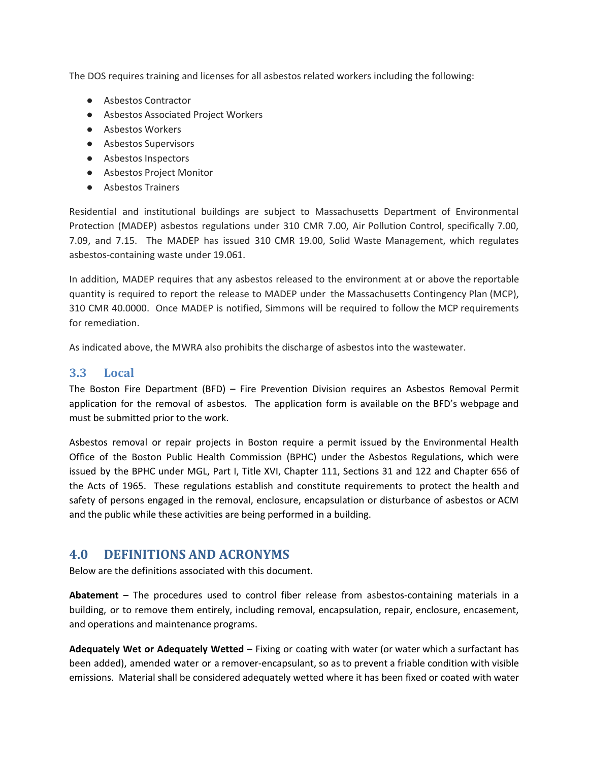The DOS requires training and licenses for all asbestos related workers including the following:

- Asbestos Contractor
- Asbestos Associated Project Workers
- Asbestos Workers
- Asbestos Supervisors
- Asbestos Inspectors
- Asbestos Project Monitor
- Asbestos Trainers

Residential and institutional buildings are subject to Massachusetts Department of Environmental Protection (MADEP) asbestos regulations under 310 CMR 7.00, Air Pollution Control, specifically 7.00, 7.09, and 7.15. The MADEP has issued 310 CMR 19.00, Solid Waste Management, which regulates asbestos-containing waste under 19.061.

In addition, MADEP requires that any asbestos released to the environment at or above the reportable quantity is required to report the release to MADEP under the Massachusetts Contingency Plan (MCP), 310 CMR 40.0000. Once MADEP is notified, Simmons will be required to follow the MCP requirements for remediation.

As indicated above, the MWRA also prohibits the discharge of asbestos into the wastewater.

#### <span id="page-8-0"></span>**3.3 Local**

The Boston Fire Department (BFD) – Fire Prevention Division requires an Asbestos Removal Permit application for the removal of asbestos. The application form is available on the BFD's webpage and must be submitted prior to the work.

Asbestos removal or repair projects in Boston require a permit issued by the Environmental Health Office of the Boston Public Health Commission (BPHC) under the Asbestos Regulations, which were issued by the BPHC under MGL, Part I, Title XVI, Chapter 111, Sections 31 and 122 and Chapter 656 of the Acts of 1965. These regulations establish and constitute requirements to protect the health and safety of persons engaged in the removal, enclosure, encapsulation or disturbance of asbestos or ACM and the public while these activities are being performed in a building.

## <span id="page-8-1"></span>**4.0 DEFINITIONS AND ACRONYMS**

Below are the definitions associated with this document.

**Abatement** – The procedures used to control fiber release from asbestos-containing materials in a building, or to remove them entirely, including removal, encapsulation, repair, enclosure, encasement, and operations and maintenance programs.

**Adequately Wet or Adequately Wetted** – Fixing or coating with water (or water which a surfactant has been added), amended water or a remover-encapsulant, so as to prevent a friable condition with visible emissions. Material shall be considered adequately wetted where it has been fixed or coated with water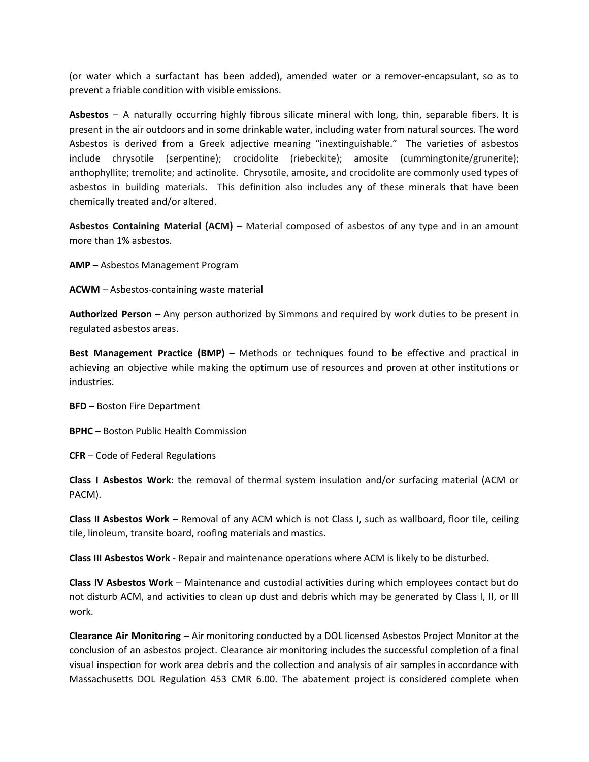(or water which a surfactant has been added), amended water or a remover-encapsulant, so as to prevent a friable condition with visible emissions.

**Asbestos** – A naturally occurring highly fibrous silicate mineral with long, thin, separable fibers. It is present in the air outdoors and in some drinkable water, including water from natural sources. The word Asbestos is derived from a Greek adjective meaning "inextinguishable." The varieties of asbestos include chrysotile (serpentine); crocidolite (riebeckite); amosite (cummingtonite/grunerite); anthophyllite; tremolite; and actinolite. Chrysotile, amosite, and crocidolite are commonly used types of asbestos in building materials. This definition also includes any of these minerals that have been chemically treated and/or altered.

**Asbestos Containing Material (ACM)** – Material composed of asbestos of any type and in an amount more than 1% asbestos.

**AMP** – Asbestos Management Program

**ACWM** – Asbestos-containing waste material

**Authorized Person** – Any person authorized by Simmons and required by work duties to be present in regulated asbestos areas.

**Best Management Practice (BMP)** – Methods or techniques found to be effective and practical in achieving an objective while making the optimum use of resources and proven at other institutions or industries.

**BFD** – Boston Fire Department

**BPHC** – Boston Public Health Commission

**CFR** – Code of Federal Regulations

**Class I Asbestos Work**: the removal of thermal system insulation and/or surfacing material (ACM or PACM).

**Class II Asbestos Work** – Removal of any ACM which is not Class I, such as wallboard, floor tile, ceiling tile, linoleum, transite board, roofing materials and mastics.

**Class III Asbestos Work** - Repair and maintenance operations where ACM is likely to be disturbed.

**Class IV Asbestos Work** – Maintenance and custodial activities during which employees contact but do not disturb ACM, and activities to clean up dust and debris which may be generated by Class I, II, or III work.

**Clearance Air Monitoring** – Air monitoring conducted by a DOL licensed Asbestos Project Monitor at the conclusion of an asbestos project. Clearance air monitoring includes the successful completion of a final visual inspection for work area debris and the collection and analysis of air samples in accordance with Massachusetts DOL Regulation 453 CMR 6.00. The abatement project is considered complete when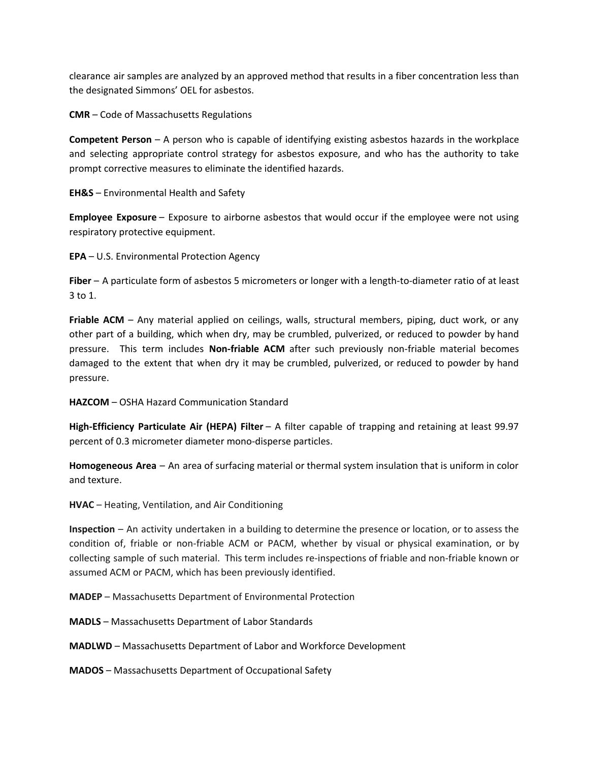clearance air samples are analyzed by an approved method that results in a fiber concentration less than the designated Simmons' OEL for asbestos.

**CMR** – Code of Massachusetts Regulations

**Competent Person** – A person who is capable of identifying existing asbestos hazards in the workplace and selecting appropriate control strategy for asbestos exposure, and who has the authority to take prompt corrective measures to eliminate the identified hazards.

**EH&S** – Environmental Health and Safety

**Employee Exposure** – Exposure to airborne asbestos that would occur if the employee were not using respiratory protective equipment.

**EPA** – U.S. Environmental Protection Agency

**Fiber** – A particulate form of asbestos 5 micrometers or longer with a length-to-diameter ratio of at least 3 to 1.

**Friable ACM** – Any material applied on ceilings, walls, structural members, piping, duct work, or any other part of a building, which when dry, may be crumbled, pulverized, or reduced to powder by hand pressure. This term includes **Non-friable ACM** after such previously non-friable material becomes damaged to the extent that when dry it may be crumbled, pulverized, or reduced to powder by hand pressure.

**HAZCOM** – OSHA Hazard Communication Standard

**High-Efficiency Particulate Air (HEPA) Filter** – A filter capable of trapping and retaining at least 99.97 percent of 0.3 micrometer diameter mono-disperse particles.

**Homogeneous Area** – An area of surfacing material or thermal system insulation that is uniform in color and texture.

**HVAC** – Heating, Ventilation, and Air Conditioning

**Inspection** – An activity undertaken in a building to determine the presence or location, or to assess the condition of, friable or non-friable ACM or PACM, whether by visual or physical examination, or by collecting sample of such material. This term includes re-inspections of friable and non-friable known or assumed ACM or PACM, which has been previously identified.

**MADEP** – Massachusetts Department of Environmental Protection

**MADLS** – Massachusetts Department of Labor Standards

**MADLWD** – Massachusetts Department of Labor and Workforce Development

**MADOS** – Massachusetts Department of Occupational Safety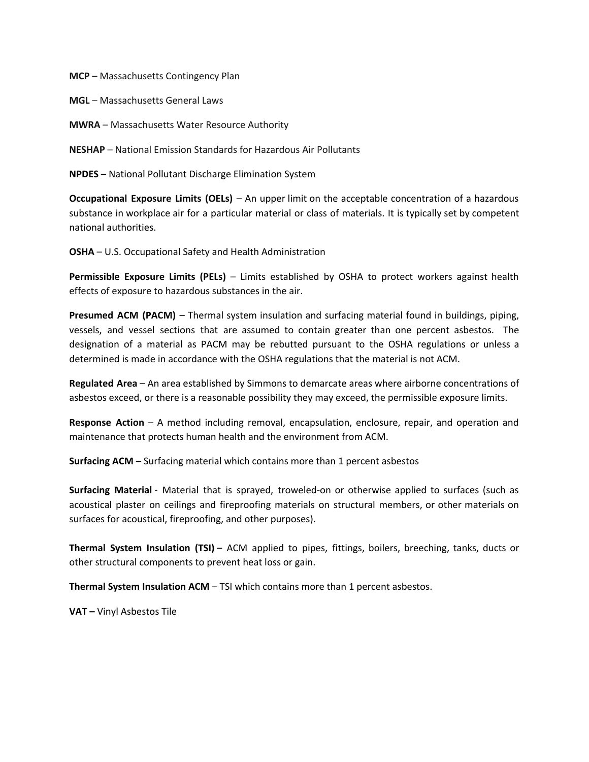**MCP** – Massachusetts Contingency Plan

**MGL** – Massachusetts General Laws

**MWRA** – Massachusetts Water Resource Authority

**NESHAP** – National Emission Standards for Hazardous Air Pollutants

**NPDES** – National Pollutant Discharge Elimination System

**Occupational Exposure Limits (OELs)** – An upper limit on the acceptable concentration of a hazardous substance in workplace air for a particular material or class of materials. It is typically set by competent national authorities.

**OSHA** – U.S. Occupational Safety and Health Administration

**Permissible Exposure Limits (PELs)** – Limits established by OSHA to protect workers against health effects of exposure to hazardous substances in the air.

**Presumed ACM (PACM)** – Thermal system insulation and surfacing material found in buildings, piping, vessels, and vessel sections that are assumed to contain greater than one percent asbestos. The designation of a material as PACM may be rebutted pursuant to the OSHA regulations or unless a determined is made in accordance with the OSHA regulations that the material is not ACM.

**Regulated Area** – An area established by Simmons to demarcate areas where airborne concentrations of asbestos exceed, or there is a reasonable possibility they may exceed, the permissible exposure limits.

**Response Action** – A method including removal, encapsulation, enclosure, repair, and operation and maintenance that protects human health and the environment from ACM.

**Surfacing ACM** – Surfacing material which contains more than 1 percent asbestos

**Surfacing Material** - Material that is sprayed, troweled-on or otherwise applied to surfaces (such as acoustical plaster on ceilings and fireproofing materials on structural members, or other materials on surfaces for acoustical, fireproofing, and other purposes).

**Thermal System Insulation (TSI)** – ACM applied to pipes, fittings, boilers, breeching, tanks, ducts or other structural components to prevent heat loss or gain.

**Thermal System Insulation ACM** – TSI which contains more than 1 percent asbestos.

**VAT –** Vinyl Asbestos Tile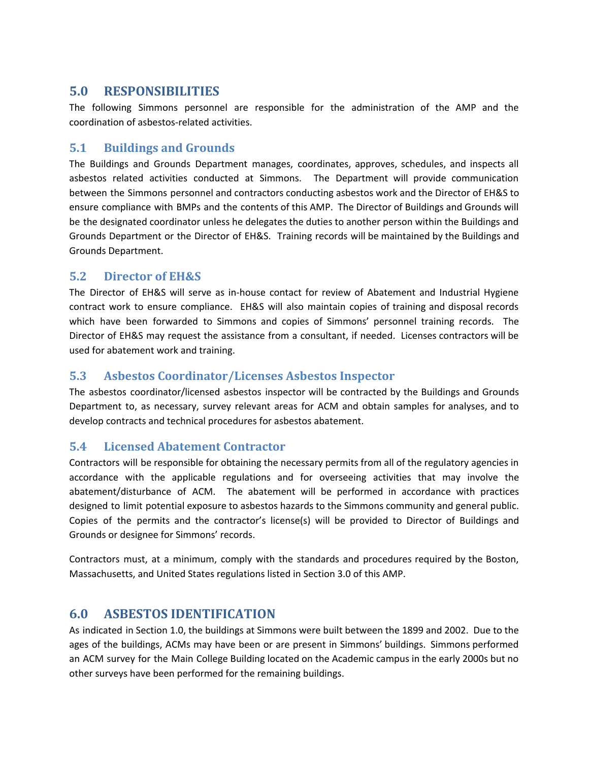## <span id="page-12-0"></span>**5.0 RESPONSIBILITIES**

The following Simmons personnel are responsible for the administration of the AMP and the coordination of asbestos-related activities.

## <span id="page-12-1"></span>**5.1 Buildings and Grounds**

The Buildings and Grounds Department manages, coordinates, approves, schedules, and inspects all asbestos related activities conducted at Simmons. The Department will provide communication between the Simmons personnel and contractors conducting asbestos work and the Director of EH&S to ensure compliance with BMPs and the contents of this AMP. The Director of Buildings and Grounds will be the designated coordinator unless he delegates the duties to another person within the Buildings and Grounds Department or the Director of EH&S. Training records will be maintained by the Buildings and Grounds Department.

## <span id="page-12-2"></span>**5.2 Director of EH&S**

The Director of EH&S will serve as in-house contact for review of Abatement and Industrial Hygiene contract work to ensure compliance. EH&S will also maintain copies of training and disposal records which have been forwarded to Simmons and copies of Simmons' personnel training records. The Director of EH&S may request the assistance from a consultant, if needed. Licenses contractors will be used for abatement work and training.

## <span id="page-12-3"></span>**5.3 Asbestos Coordinator/Licenses Asbestos Inspector**

The asbestos coordinator/licensed asbestos inspector will be contracted by the Buildings and Grounds Department to, as necessary, survey relevant areas for ACM and obtain samples for analyses, and to develop contracts and technical procedures for asbestos abatement.

## <span id="page-12-4"></span>**5.4 Licensed Abatement Contractor**

Contractors will be responsible for obtaining the necessary permits from all of the regulatory agencies in accordance with the applicable regulations and for overseeing activities that may involve the abatement/disturbance of ACM. The abatement will be performed in accordance with practices designed to limit potential exposure to asbestos hazards to the Simmons community and general public. Copies of the permits and the contractor's license(s) will be provided to Director of Buildings and Grounds or designee for Simmons' records.

Contractors must, at a minimum, comply with the standards and procedures required by the Boston, Massachusetts, and United States regulations listed in Section 3.0 of this AMP.

## <span id="page-12-5"></span>**6.0 ASBESTOS IDENTIFICATION**

As indicated in Section 1.0, the buildings at Simmons were built between the 1899 and 2002. Due to the ages of the buildings, ACMs may have been or are present in Simmons' buildings. Simmons performed an ACM survey for the Main College Building located on the Academic campus in the early 2000s but no other surveys have been performed for the remaining buildings.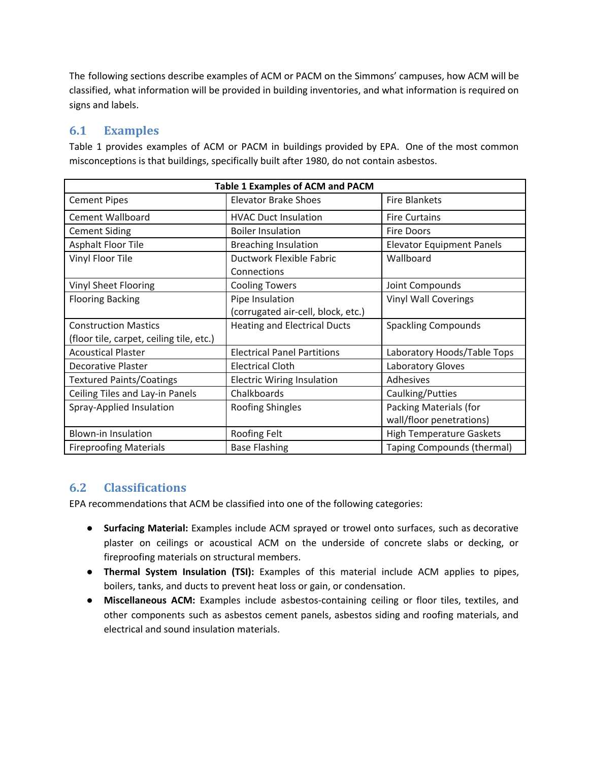The following sections describe examples of ACM or PACM on the Simmons' campuses, how ACM will be classified, what information will be provided in building inventories, and what information is required on signs and labels.

## <span id="page-13-0"></span>**6.1 Examples**

Table 1 provides examples of ACM or PACM in buildings provided by EPA. One of the most common misconceptions is that buildings, specifically built after 1980, do not contain asbestos.

| <b>Table 1 Examples of ACM and PACM</b>                                 |                                                       |                                                    |  |
|-------------------------------------------------------------------------|-------------------------------------------------------|----------------------------------------------------|--|
| <b>Cement Pipes</b>                                                     | Elevator Brake Shoes                                  | <b>Fire Blankets</b>                               |  |
| <b>Cement Wallboard</b>                                                 | <b>HVAC Duct Insulation</b>                           | <b>Fire Curtains</b>                               |  |
| <b>Cement Siding</b>                                                    | <b>Boiler Insulation</b>                              | <b>Fire Doors</b>                                  |  |
| Asphalt Floor Tile                                                      | <b>Breaching Insulation</b>                           | <b>Elevator Equipment Panels</b>                   |  |
| Vinyl Floor Tile                                                        | Ductwork Flexible Fabric<br>Connections               | Wallboard                                          |  |
| Vinyl Sheet Flooring                                                    | <b>Cooling Towers</b>                                 | Joint Compounds                                    |  |
| <b>Flooring Backing</b>                                                 | Pipe Insulation<br>(corrugated air-cell, block, etc.) | <b>Vinyl Wall Coverings</b>                        |  |
| <b>Construction Mastics</b><br>(floor tile, carpet, ceiling tile, etc.) | <b>Heating and Electrical Ducts</b>                   | <b>Spackling Compounds</b>                         |  |
| <b>Acoustical Plaster</b>                                               | <b>Electrical Panel Partitions</b>                    | Laboratory Hoods/Table Tops                        |  |
| <b>Decorative Plaster</b>                                               | <b>Electrical Cloth</b>                               | Laboratory Gloves                                  |  |
| <b>Textured Paints/Coatings</b>                                         | <b>Electric Wiring Insulation</b>                     | <b>Adhesives</b>                                   |  |
| Ceiling Tiles and Lay-in Panels                                         | Chalkboards                                           | Caulking/Putties                                   |  |
| Spray-Applied Insulation                                                | <b>Roofing Shingles</b>                               | Packing Materials (for<br>wall/floor penetrations) |  |
| <b>Blown-in Insulation</b>                                              | Roofing Felt                                          | <b>High Temperature Gaskets</b>                    |  |
| <b>Fireproofing Materials</b>                                           | <b>Base Flashing</b>                                  | Taping Compounds (thermal)                         |  |

## <span id="page-13-1"></span>**6.2 Classifications**

EPA recommendations that ACM be classified into one of the following categories:

- **Surfacing Material:** Examples include ACM sprayed or trowel onto surfaces, such as decorative plaster on ceilings or acoustical ACM on the underside of concrete slabs or decking, or fireproofing materials on structural members.
- **Thermal System Insulation (TSI):** Examples of this material include ACM applies to pipes, boilers, tanks, and ducts to prevent heat loss or gain, or condensation.
- **Miscellaneous ACM:** Examples include asbestos-containing ceiling or floor tiles, textiles, and other components such as asbestos cement panels, asbestos siding and roofing materials, and electrical and sound insulation materials.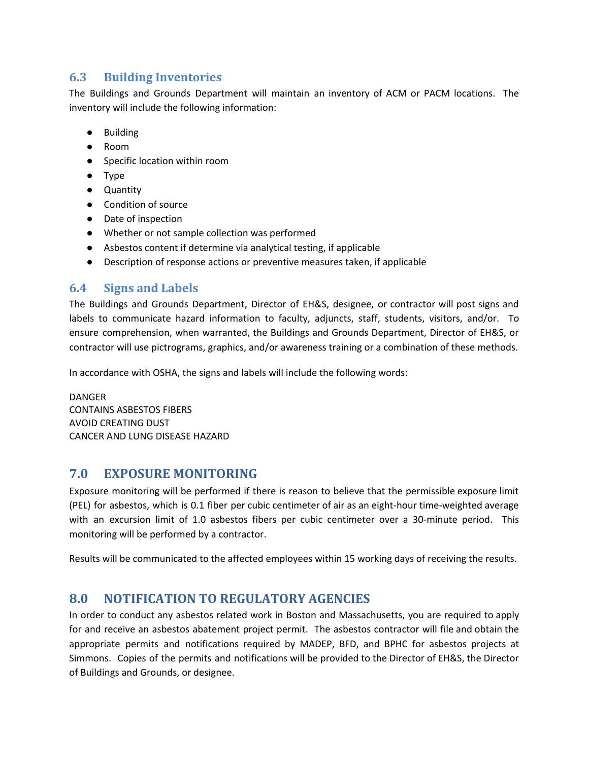## <span id="page-14-0"></span>**6.3 Building Inventories**

The Buildings and Grounds Department will maintain an inventory of ACM or PACM locations. The inventory will include the following information:

- Building
- Room
- Specific location within room
- Type
- Quantity
- Condition of source
- Date of inspection
- Whether or not sample collection was performed
- Asbestos content if determine via analytical testing, if applicable
- Description of response actions or preventive measures taken, if applicable

#### <span id="page-14-1"></span>**6.4 Signs and Labels**

The Buildings and Grounds Department, Director of EH&S, designee, or contractor will post signs and labels to communicate hazard information to faculty, adjuncts, staff, students, visitors, and/or. To ensure comprehension, when warranted, the Buildings and Grounds Department, Director of EH&S, or contractor will use pictrograms, graphics, and/or awareness training or a combination of these methods.

In accordance with OSHA, the signs and labels will include the following words:

DANGER CONTAINS ASBESTOS FIBERS AVOID CREATING DUST CANCER AND LUNG DISEASE HAZARD

#### <span id="page-14-2"></span>**7.0 EXPOSURE MONITORING**

Exposure monitoring will be performed if there is reason to believe that the permissible exposure limit (PEL) for asbestos, which is 0.1 fiber per cubic centimeter of air as an eight-hour time-weighted average with an excursion limit of 1.0 asbestos fibers per cubic centimeter over a 30-minute period. This monitoring will be performed by a contractor.

Results will be communicated to the affected employees within 15 working days of receiving the results.

## <span id="page-14-3"></span>**8.0 NOTIFICATION TO REGULATORY AGENCIES**

In order to conduct any asbestos related work in Boston and Massachusetts, you are required to apply for and receive an asbestos abatement project permit. The asbestos contractor will file and obtain the appropriate permits and notifications required by MADEP, BFD, and BPHC for asbestos projects at Simmons. Copies of the permits and notifications will be provided to the Director of EH&S, the Director of Buildings and Grounds, or designee.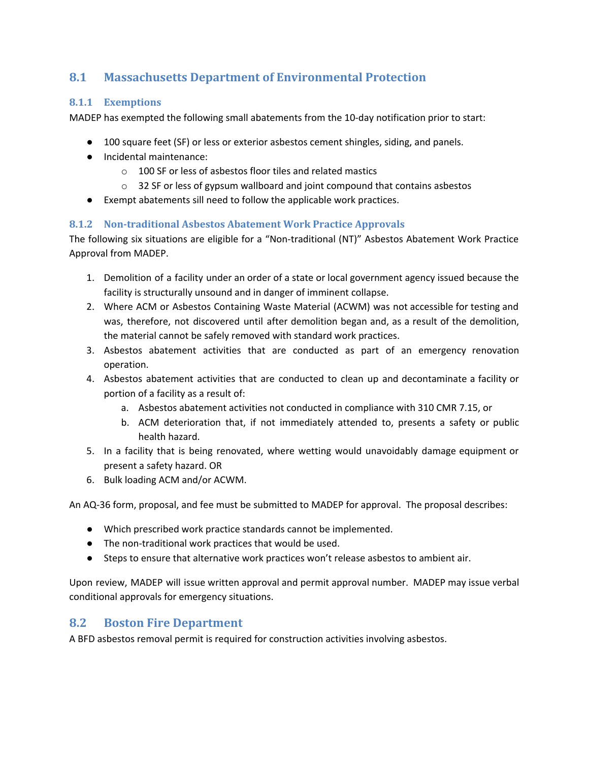## <span id="page-15-0"></span>**8.1 Massachusetts Department of Environmental Protection**

#### <span id="page-15-1"></span>**8.1.1 Exemptions**

MADEP has exempted the following small abatements from the 10-day notification prior to start:

- 100 square feet (SF) or less or exterior asbestos cement shingles, siding, and panels.
- Incidental maintenance:
	- o 100 SF or less of asbestos floor tiles and related mastics
	- o 32 SF or less of gypsum wallboard and joint compound that contains asbestos
- Exempt abatements sill need to follow the applicable work practices.

#### <span id="page-15-2"></span>**8.1.2 Non-traditional Asbestos Abatement Work Practice Approvals**

The following six situations are eligible for a "Non-traditional (NT)" Asbestos Abatement Work Practice Approval from MADEP.

- 1. Demolition of a facility under an order of a state or local government agency issued because the facility is structurally unsound and in danger of imminent collapse.
- 2. Where ACM or Asbestos Containing Waste Material (ACWM) was not accessible for testing and was, therefore, not discovered until after demolition began and, as a result of the demolition, the material cannot be safely removed with standard work practices.
- 3. Asbestos abatement activities that are conducted as part of an emergency renovation operation.
- 4. Asbestos abatement activities that are conducted to clean up and decontaminate a facility or portion of a facility as a result of:
	- a. Asbestos abatement activities not conducted in compliance with 310 CMR 7.15, or
	- b. ACM deterioration that, if not immediately attended to, presents a safety or public health hazard.
- 5. In a facility that is being renovated, where wetting would unavoidably damage equipment or present a safety hazard. OR
- 6. Bulk loading ACM and/or ACWM.

An AQ-36 form, proposal, and fee must be submitted to MADEP for approval. The proposal describes:

- Which prescribed work practice standards cannot be implemented.
- The non-traditional work practices that would be used.
- Steps to ensure that alternative work practices won't release asbestos to ambient air.

Upon review, MADEP will issue written approval and permit approval number. MADEP may issue verbal conditional approvals for emergency situations.

## <span id="page-15-3"></span>**8.2 Boston Fire Department**

A BFD asbestos removal permit is required for construction activities involving asbestos.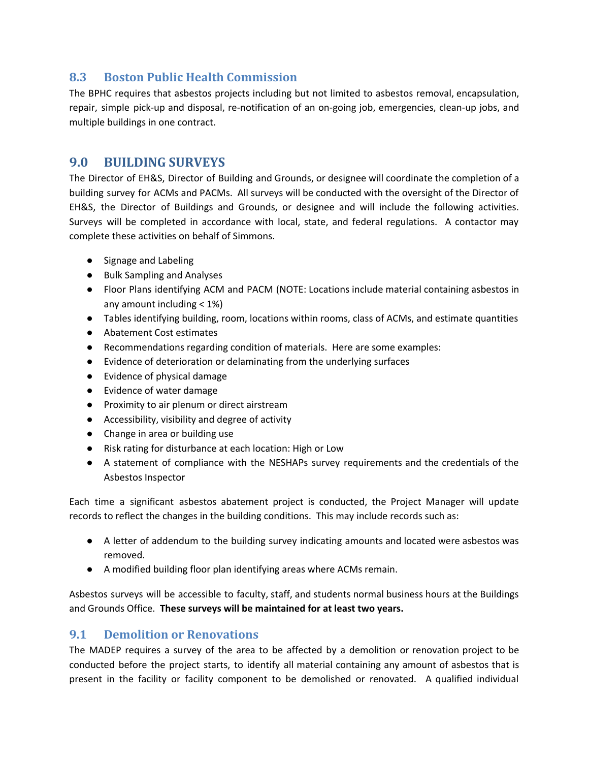## <span id="page-16-0"></span>**8.3 Boston Public Health Commission**

The BPHC requires that asbestos projects including but not limited to asbestos removal, encapsulation, repair, simple pick-up and disposal, re-notification of an on-going job, emergencies, clean-up jobs, and multiple buildings in one contract.

## <span id="page-16-1"></span>**9.0 BUILDING SURVEYS**

The Director of EH&S, Director of Building and Grounds, or designee will coordinate the completion of a building survey for ACMs and PACMs. All surveys will be conducted with the oversight of the Director of EH&S, the Director of Buildings and Grounds, or designee and will include the following activities. Surveys will be completed in accordance with local, state, and federal regulations. A contactor may complete these activities on behalf of Simmons.

- Signage and Labeling
- Bulk Sampling and Analyses
- Floor Plans identifying ACM and PACM (NOTE: Locations include material containing asbestos in any amount including < 1%)
- Tables identifying building, room, locations within rooms, class of ACMs, and estimate quantities
- Abatement Cost estimates
- Recommendations regarding condition of materials. Here are some examples:
- Evidence of deterioration or delaminating from the underlying surfaces
- Evidence of physical damage
- Evidence of water damage
- Proximity to air plenum or direct airstream
- Accessibility, visibility and degree of activity
- Change in area or building use
- Risk rating for disturbance at each location: High or Low
- A statement of compliance with the NESHAPs survey requirements and the credentials of the Asbestos Inspector

Each time a significant asbestos abatement project is conducted, the Project Manager will update records to reflect the changes in the building conditions. This may include records such as:

- A letter of addendum to the building survey indicating amounts and located were asbestos was removed.
- A modified building floor plan identifying areas where ACMs remain.

Asbestos surveys will be accessible to faculty, staff, and students normal business hours at the Buildings and Grounds Office. **These surveys will be maintained for at least two years.**

#### <span id="page-16-2"></span>**9.1 Demolition or Renovations**

The MADEP requires a survey of the area to be affected by a demolition or renovation project to be conducted before the project starts, to identify all material containing any amount of asbestos that is present in the facility or facility component to be demolished or renovated. A qualified individual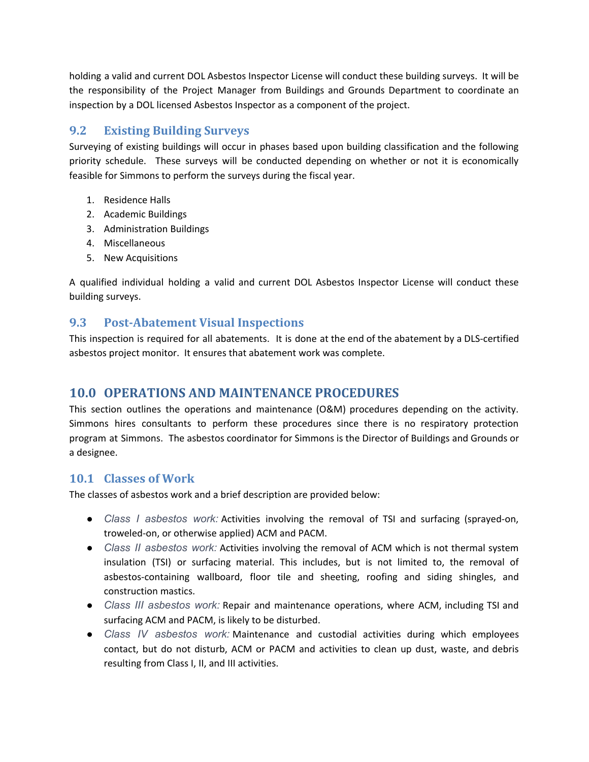holding a valid and current DOL Asbestos Inspector License will conduct these building surveys. It will be the responsibility of the Project Manager from Buildings and Grounds Department to coordinate an inspection by a DOL licensed Asbestos Inspector as a component of the project.

## <span id="page-17-0"></span>**9.2 Existing Building Surveys**

Surveying of existing buildings will occur in phases based upon building classification and the following priority schedule. These surveys will be conducted depending on whether or not it is economically feasible for Simmons to perform the surveys during the fiscal year.

- 1. Residence Halls
- 2. Academic Buildings
- 3. Administration Buildings
- 4. Miscellaneous
- 5. New Acquisitions

A qualified individual holding a valid and current DOL Asbestos Inspector License will conduct these building surveys.

## <span id="page-17-1"></span>**9.3 Post-Abatement Visual Inspections**

This inspection is required for all abatements. It is done at the end of the abatement by a DLS-certified asbestos project monitor. It ensures that abatement work was complete.

## <span id="page-17-2"></span>**10.0 OPERATIONS AND MAINTENANCE PROCEDURES**

This section outlines the operations and maintenance (O&M) procedures depending on the activity. Simmons hires consultants to perform these procedures since there is no respiratory protection program at Simmons. The asbestos coordinator for Simmons is the Director of Buildings and Grounds or a designee.

## <span id="page-17-3"></span>**10.1 Classes of Work**

The classes of asbestos work and a brief description are provided below:

- *Class I asbestos work:* Activities involving the removal of TSI and surfacing (sprayed-on, troweled-on, or otherwise applied) ACM and PACM.
- *Class II asbestos work:* Activities involving the removal of ACM which is not thermal system insulation (TSI) or surfacing material. This includes, but is not limited to, the removal of asbestos-containing wallboard, floor tile and sheeting, roofing and siding shingles, and construction mastics.
- *Class III asbestos work:* Repair and maintenance operations, where ACM, including TSI and surfacing ACM and PACM, is likely to be disturbed.
- *Class IV asbestos work:* Maintenance and custodial activities during which employees contact, but do not disturb, ACM or PACM and activities to clean up dust, waste, and debris resulting from Class I, II, and III activities.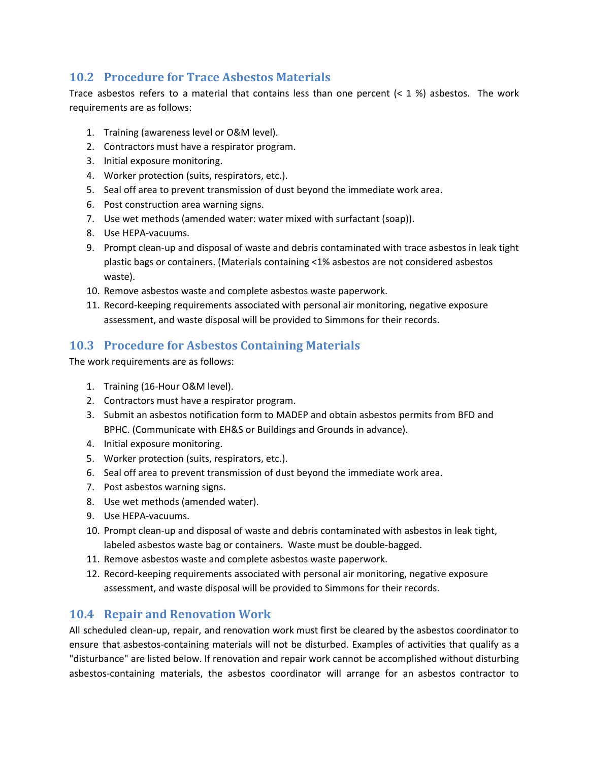## <span id="page-18-0"></span>**10.2 Procedure for Trace Asbestos Materials**

Trace asbestos refers to a material that contains less than one percent  $(< 1\%)$  asbestos. The work requirements are as follows:

- 1. Training (awareness level or O&M level).
- 2. Contractors must have a respirator program.
- 3. Initial exposure monitoring.
- 4. Worker protection (suits, respirators, etc.).
- 5. Seal off area to prevent transmission of dust beyond the immediate work area.
- 6. Post construction area warning signs.
- 7. Use wet methods (amended water: water mixed with surfactant (soap)).
- 8. Use HEPA-vacuums.
- 9. Prompt clean-up and disposal of waste and debris contaminated with trace asbestos in leak tight plastic bags or containers. (Materials containing <1% asbestos are not considered asbestos waste).
- 10. Remove asbestos waste and complete asbestos waste paperwork.
- 11. Record-keeping requirements associated with personal air monitoring, negative exposure assessment, and waste disposal will be provided to Simmons for their records.

## <span id="page-18-1"></span>**10.3 Procedure for Asbestos Containing Materials**

The work requirements are as follows:

- 1. Training (16-Hour O&M level).
- 2. Contractors must have a respirator program.
- 3. Submit an asbestos notification form to MADEP and obtain asbestos permits from BFD and BPHC. (Communicate with EH&S or Buildings and Grounds in advance).
- 4. Initial exposure monitoring.
- 5. Worker protection (suits, respirators, etc.).
- 6. Seal off area to prevent transmission of dust beyond the immediate work area.
- 7. Post asbestos warning signs.
- 8. Use wet methods (amended water).
- 9. Use HEPA-vacuums.
- 10. Prompt clean-up and disposal of waste and debris contaminated with asbestos in leak tight, labeled asbestos waste bag or containers. Waste must be double-bagged.
- 11. Remove asbestos waste and complete asbestos waste paperwork.
- 12. Record-keeping requirements associated with personal air monitoring, negative exposure assessment, and waste disposal will be provided to Simmons for their records.

## <span id="page-18-2"></span>**10.4 Repair and Renovation Work**

All scheduled clean-up, repair, and renovation work must first be cleared by the asbestos coordinator to ensure that asbestos-containing materials will not be disturbed. Examples of activities that qualify as a "disturbance" are listed below. If renovation and repair work cannot be accomplished without disturbing asbestos-containing materials, the asbestos coordinator will arrange for an asbestos contractor to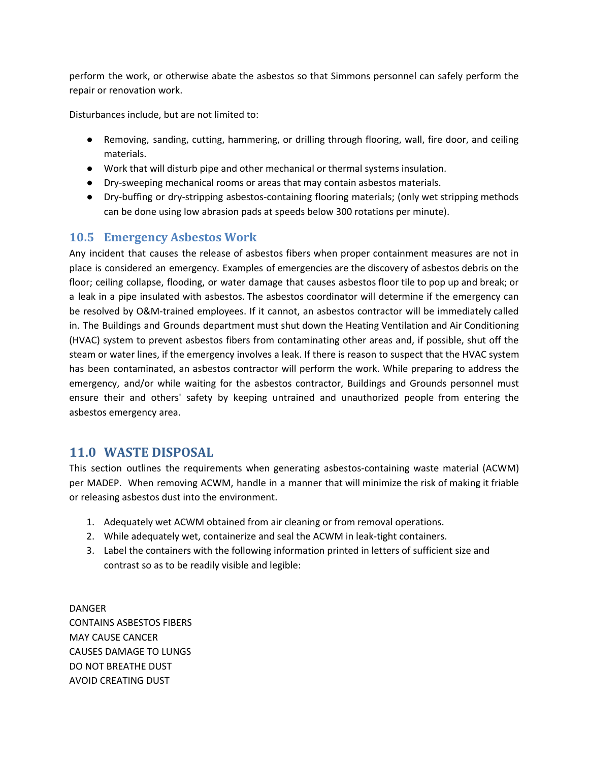perform the work, or otherwise abate the asbestos so that Simmons personnel can safely perform the repair or renovation work.

Disturbances include, but are not limited to:

- Removing, sanding, cutting, hammering, or drilling through flooring, wall, fire door, and ceiling materials.
- Work that will disturb pipe and other mechanical or thermal systems insulation.
- Dry-sweeping mechanical rooms or areas that may contain asbestos materials.
- Dry-buffing or dry-stripping asbestos-containing flooring materials; (only wet stripping methods can be done using low abrasion pads at speeds below 300 rotations per minute).

## <span id="page-19-0"></span>**10.5 Emergency Asbestos Work**

Any incident that causes the release of asbestos fibers when proper containment measures are not in place is considered an emergency. Examples of emergencies are the discovery of asbestos debris on the floor; ceiling collapse, flooding, or water damage that causes asbestos floor tile to pop up and break; or a leak in a pipe insulated with asbestos. The asbestos coordinator will determine if the emergency can be resolved by O&M-trained employees. If it cannot, an asbestos contractor will be immediately called in. The Buildings and Grounds department must shut down the Heating Ventilation and Air Conditioning (HVAC) system to prevent asbestos fibers from contaminating other areas and, if possible, shut off the steam or water lines, if the emergency involves a leak. If there is reason to suspect that the HVAC system has been contaminated, an asbestos contractor will perform the work. While preparing to address the emergency, and/or while waiting for the asbestos contractor, Buildings and Grounds personnel must ensure their and others' safety by keeping untrained and unauthorized people from entering the asbestos emergency area.

## <span id="page-19-1"></span>**11.0 WASTE DISPOSAL**

This section outlines the requirements when generating asbestos-containing waste material (ACWM) per MADEP. When removing ACWM, handle in a manner that will minimize the risk of making it friable or releasing asbestos dust into the environment.

- 1. Adequately wet ACWM obtained from air cleaning or from removal operations.
- 2. While adequately wet, containerize and seal the ACWM in leak-tight containers.
- 3. Label the containers with the following information printed in letters of sufficient size and contrast so as to be readily visible and legible:

DANGER CONTAINS ASBESTOS FIBERS MAY CAUSE CANCER CAUSES DAMAGE TO LUNGS DO NOT BREATHE DUST AVOID CREATING DUST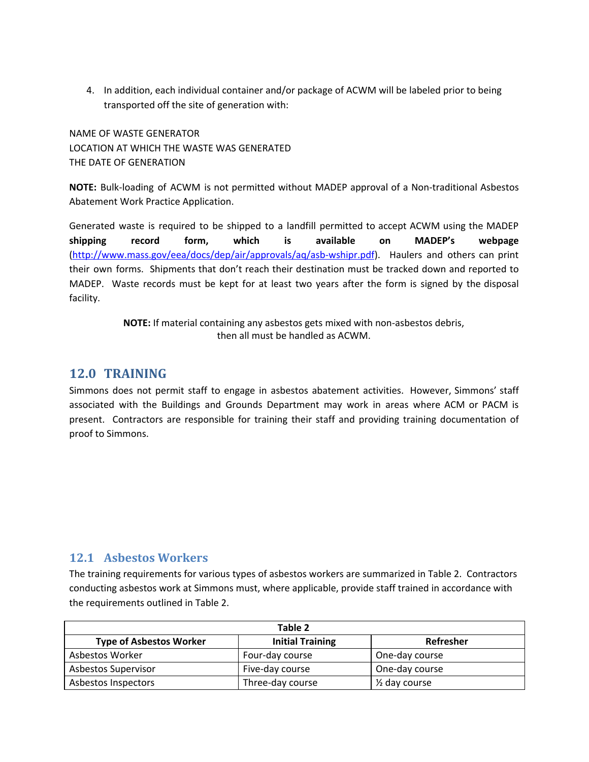4. In addition, each individual container and/or package of ACWM will be labeled prior to being transported off the site of generation with:

NAME OF WASTE GENERATOR LOCATION AT WHICH THE WASTE WAS GENERATED THE DATE OF GENERATION

**NOTE:** Bulk-loading of ACWM is not permitted without MADEP approval of a Non-traditional Asbestos Abatement Work Practice Application.

Generated waste is required to be shipped to a landfill permitted to accept ACWM using the MADEP **shipping record form, which is available on MADEP's webpage** [\(http://www.mass.gov/eea/docs/dep/air/approvals/aq/asb-wshipr.pdf](http://www.mass.gov/eea/docs/dep/air/approvals/aq/asb-wshipr.pdf)). Haulers and others can print their own forms. Shipments that don't reach their destination must be tracked down and reported to MADEP. Waste records must be kept for at least two years after the form is signed by the disposal facility.

> **NOTE:** If material containing any asbestos gets mixed with non-asbestos debris, then all must be handled as ACWM.

#### <span id="page-20-0"></span>**12.0 TRAINING**

Simmons does not permit staff to engage in asbestos abatement activities. However, Simmons' staff associated with the Buildings and Grounds Department may work in areas where ACM or PACM is present. Contractors are responsible for training their staff and providing training documentation of proof to Simmons.

#### <span id="page-20-1"></span>**12.1 Asbestos Workers**

The training requirements for various types of asbestos workers are summarized in Table 2. Contractors conducting asbestos work at Simmons must, where applicable, provide staff trained in accordance with the requirements outlined in Table 2.

| Table 2                        |                         |                          |  |
|--------------------------------|-------------------------|--------------------------|--|
| <b>Type of Asbestos Worker</b> | <b>Initial Training</b> | Refresher                |  |
| Asbestos Worker                | Four-day course         | One-day course           |  |
| <b>Asbestos Supervisor</b>     | Five-day course         | One-day course           |  |
| Asbestos Inspectors            | Three-day course        | $\frac{1}{2}$ day course |  |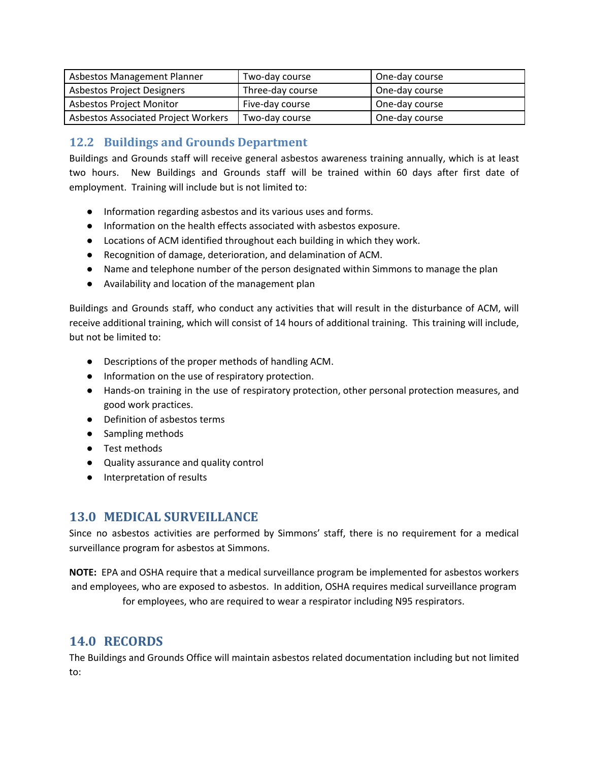| Asbestos Management Planner         | Two-day course   | One-day course |
|-------------------------------------|------------------|----------------|
| Asbestos Project Designers          | Three-day course | One-day course |
| <b>Asbestos Project Monitor</b>     | Five-day course  | One-day course |
| Asbestos Associated Project Workers | Two-day course   | One-day course |

## <span id="page-21-0"></span>**12.2 Buildings and Grounds Department**

Buildings and Grounds staff will receive general asbestos awareness training annually, which is at least two hours. New Buildings and Grounds staff will be trained within 60 days after first date of employment. Training will include but is not limited to:

- Information regarding asbestos and its various uses and forms.
- Information on the health effects associated with asbestos exposure.
- Locations of ACM identified throughout each building in which they work.
- Recognition of damage, deterioration, and delamination of ACM.
- Name and telephone number of the person designated within Simmons to manage the plan
- Availability and location of the management plan

Buildings and Grounds staff, who conduct any activities that will result in the disturbance of ACM, will receive additional training, which will consist of 14 hours of additional training. This training will include, but not be limited to:

- Descriptions of the proper methods of handling ACM.
- Information on the use of respiratory protection.
- Hands-on training in the use of respiratory protection, other personal protection measures, and good work practices.
- Definition of asbestos terms
- Sampling methods
- Test methods
- Quality assurance and quality control
- Interpretation of results

## <span id="page-21-1"></span>**13.0 MEDICAL SURVEILLANCE**

Since no asbestos activities are performed by Simmons' staff, there is no requirement for a medical surveillance program for asbestos at Simmons.

**NOTE:** EPA and OSHA require that a medical surveillance program be implemented for asbestos workers and employees, who are exposed to asbestos. In addition, OSHA requires medical surveillance program for employees, who are required to wear a respirator including N95 respirators.

## <span id="page-21-2"></span>**14.0 RECORDS**

The Buildings and Grounds Office will maintain asbestos related documentation including but not limited to: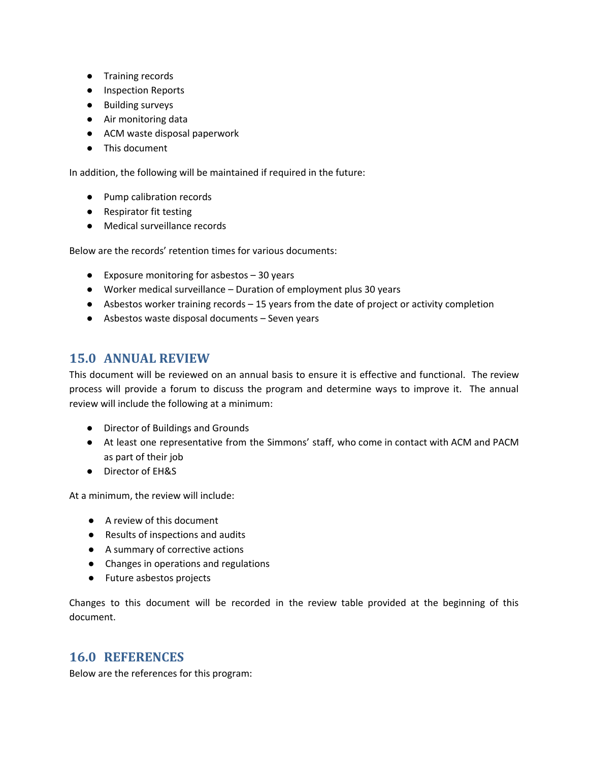- Training records
- Inspection Reports
- Building surveys
- Air monitoring data
- ACM waste disposal paperwork
- This document

In addition, the following will be maintained if required in the future:

- Pump calibration records
- Respirator fit testing
- Medical surveillance records

Below are the records' retention times for various documents:

- Exposure monitoring for asbestos 30 years
- Worker medical surveillance Duration of employment plus 30 years
- Asbestos worker training records 15 years from the date of project or activity completion
- Asbestos waste disposal documents Seven years

## <span id="page-22-0"></span>**15.0 ANNUAL REVIEW**

This document will be reviewed on an annual basis to ensure it is effective and functional. The review process will provide a forum to discuss the program and determine ways to improve it. The annual review will include the following at a minimum:

- Director of Buildings and Grounds
- At least one representative from the Simmons' staff, who come in contact with ACM and PACM as part of their job
- Director of EH&S

At a minimum, the review will include:

- A review of this document
- Results of inspections and audits
- A summary of corrective actions
- Changes in operations and regulations
- Future asbestos projects

Changes to this document will be recorded in the review table provided at the beginning of this document.

#### <span id="page-22-1"></span>**16.0 REFERENCES**

Below are the references for this program: